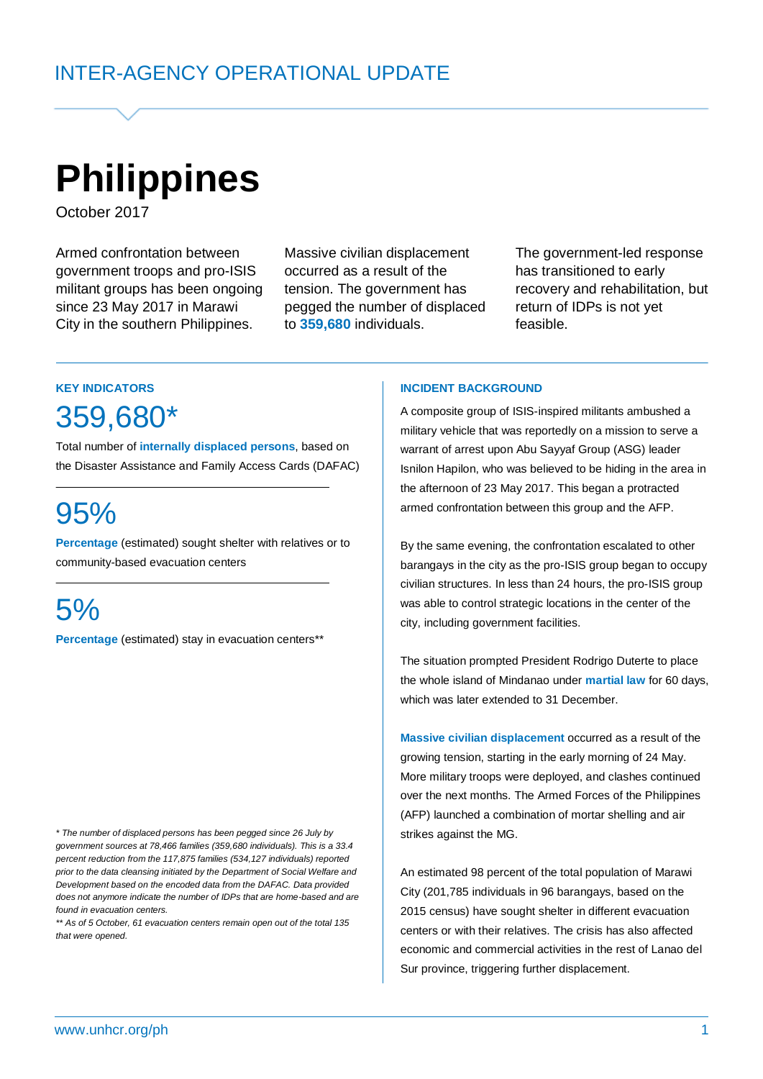# **Philippines**

October 2017

Armed confrontation between government troops and pro-ISIS militant groups has been ongoing since 23 May 2017 in Marawi City in the southern Philippines.

Massive civilian displacement occurred as a result of the tension. The government has pegged the number of displaced to **359,680** individuals.

The government-led response has transitioned to early recovery and rehabilitation, but return of IDPs is not yet feasible.

# **KEY INDICATORS**

# 359,680\*

Total number of **internally displaced persons**, based on the Disaster Assistance and Family Access Cards (DAFAC)

# 95%

**Percentage** (estimated) sought shelter with relatives or to community-based evacuation centers

# 5%

**Percentage** (estimated) stay in evacuation centers\*\*

*\* The number of displaced persons has been pegged since 26 July by government sources at 78,466 families (359,680 individuals). This is a 33.4 percent reduction from the 117,875 families (534,127 individuals) reported prior to the data cleansing initiated by the Department of Social Welfare and Development based on the encoded data from the DAFAC. Data provided does not anymore indicate the number of IDPs that are home-based and are found in evacuation centers.*

*\*\* As of 5 October, 61 evacuation centers remain open out of the total 135 that were opened.*

#### **INCIDENT BACKGROUND**

A composite group of ISIS-inspired militants ambushed a military vehicle that was reportedly on a mission to serve a warrant of arrest upon Abu Sayyaf Group (ASG) leader Isnilon Hapilon, who was believed to be hiding in the area in the afternoon of 23 May 2017. This began a protracted armed confrontation between this group and the AFP.

By the same evening, the confrontation escalated to other barangays in the city as the pro-ISIS group began to occupy civilian structures. In less than 24 hours, the pro-ISIS group was able to control strategic locations in the center of the city, including government facilities.

The situation prompted President Rodrigo Duterte to place the whole island of Mindanao under **martial law** for 60 days, which was later extended to 31 December.

**Massive civilian displacement** occurred as a result of the growing tension, starting in the early morning of 24 May. More military troops were deployed, and clashes continued over the next months. The Armed Forces of the Philippines (AFP) launched a combination of mortar shelling and air strikes against the MG.

An estimated 98 percent of the total population of Marawi City (201,785 individuals in 96 barangays, based on the 2015 census) have sought shelter in different evacuation centers or with their relatives. The crisis has also affected economic and commercial activities in the rest of Lanao del Sur province, triggering further displacement.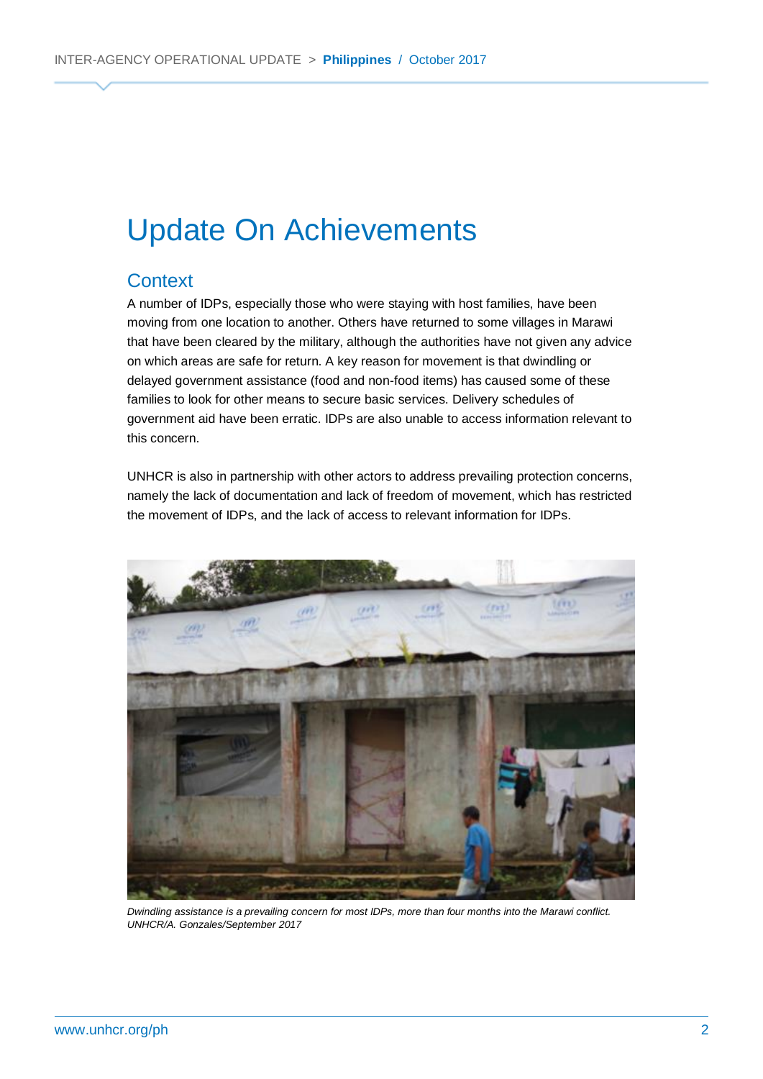# Update On Achievements

### **Context**

A number of IDPs, especially those who were staying with host families, have been moving from one location to another. Others have returned to some villages in Marawi that have been cleared by the military, although the authorities have not given any advice on which areas are safe for return. A key reason for movement is that dwindling or delayed government assistance (food and non-food items) has caused some of these families to look for other means to secure basic services. Delivery schedules of government aid have been erratic. IDPs are also unable to access information relevant to this concern.

UNHCR is also in partnership with other actors to address prevailing protection concerns, namely the lack of documentation and lack of freedom of movement, which has restricted the movement of IDPs, and the lack of access to relevant information for IDPs.



*Dwindling assistance is a prevailing concern for most IDPs, more than four months into the Marawi conflict. UNHCR/A. Gonzales/September 2017*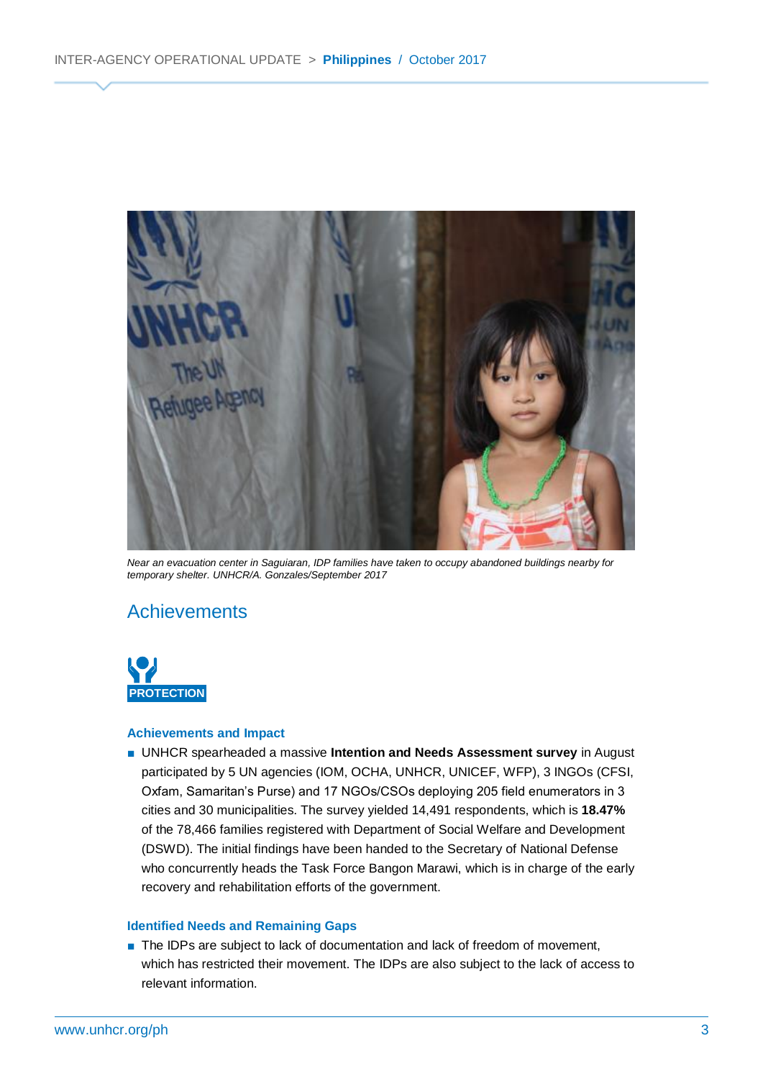

*Near an evacuation center in Saguiaran, IDP families have taken to occupy abandoned buildings nearby for temporary shelter. UNHCR/A. Gonzales/September 2017*

### **Achievements**



#### **Achievements and Impact**

■ UNHCR spearheaded a massive **Intention and Needs Assessment survey** in August participated by 5 UN agencies (IOM, OCHA, UNHCR, UNICEF, WFP), 3 INGOs (CFSI, Oxfam, Samaritan's Purse) and 17 NGOs/CSOs deploying 205 field enumerators in 3 cities and 30 municipalities. The survey yielded 14,491 respondents, which is **18.47%** of the 78,466 families registered with Department of Social Welfare and Development (DSWD). The initial findings have been handed to the Secretary of National Defense who concurrently heads the Task Force Bangon Marawi, which is in charge of the early recovery and rehabilitation efforts of the government.

#### **Identified Needs and Remaining Gaps**

■ The IDPs are subject to lack of documentation and lack of freedom of movement, which has restricted their movement. The IDPs are also subject to the lack of access to relevant information.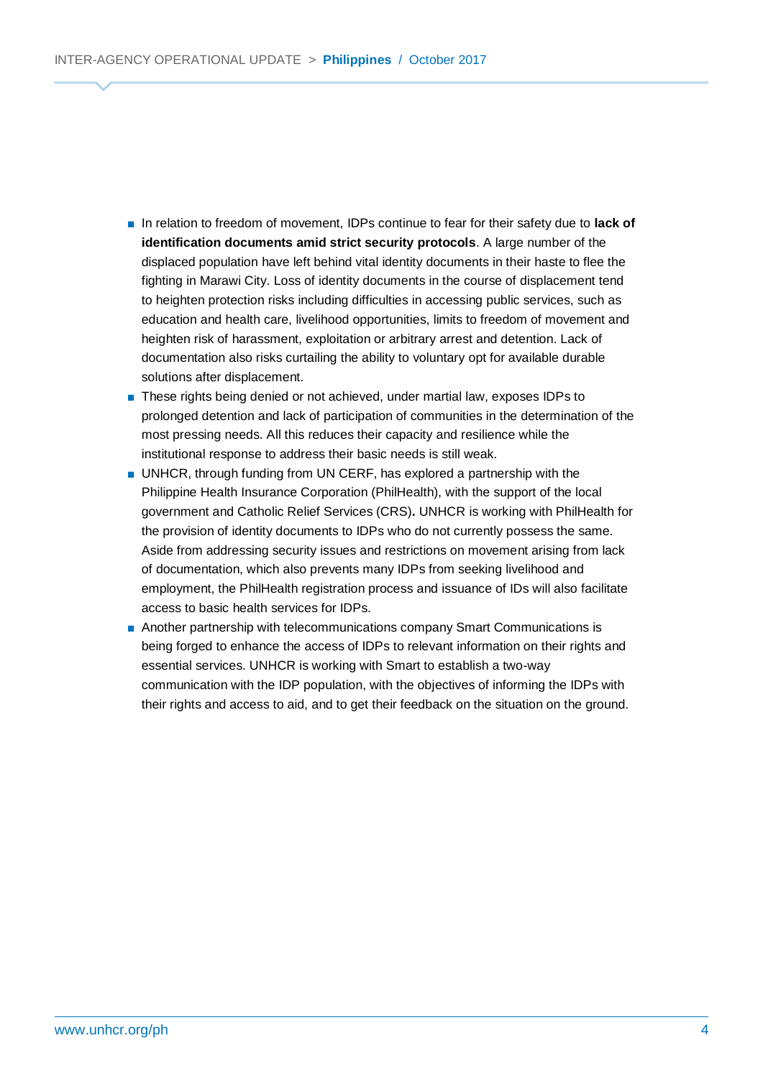- In relation to freedom of movement, IDPs continue to fear for their safety due to **lack of identification documents amid strict security protocols**. A large number of the displaced population have left behind vital identity documents in their haste to flee the fighting in Marawi City. Loss of identity documents in the course of displacement tend to heighten protection risks including difficulties in accessing public services, such as education and health care, livelihood opportunities, limits to freedom of movement and heighten risk of harassment, exploitation or arbitrary arrest and detention. Lack of documentation also risks curtailing the ability to voluntary opt for available durable solutions after displacement.
- These rights being denied or not achieved, under martial law, exposes IDPs to prolonged detention and lack of participation of communities in the determination of the most pressing needs. All this reduces their capacity and resilience while the institutional response to address their basic needs is still weak.
- UNHCR, through funding from UN CERF, has explored a partnership with the Philippine Health Insurance Corporation (PhilHealth), with the support of the local government and Catholic Relief Services (CRS)**.** UNHCR is working with PhilHealth for the provision of identity documents to IDPs who do not currently possess the same. Aside from addressing security issues and restrictions on movement arising from lack of documentation, which also prevents many IDPs from seeking livelihood and employment, the PhilHealth registration process and issuance of IDs will also facilitate access to basic health services for IDPs.
- Another partnership with telecommunications company Smart Communications is being forged to enhance the access of IDPs to relevant information on their rights and essential services. UNHCR is working with Smart to establish a two-way communication with the IDP population, with the objectives of informing the IDPs with their rights and access to aid, and to get their feedback on the situation on the ground.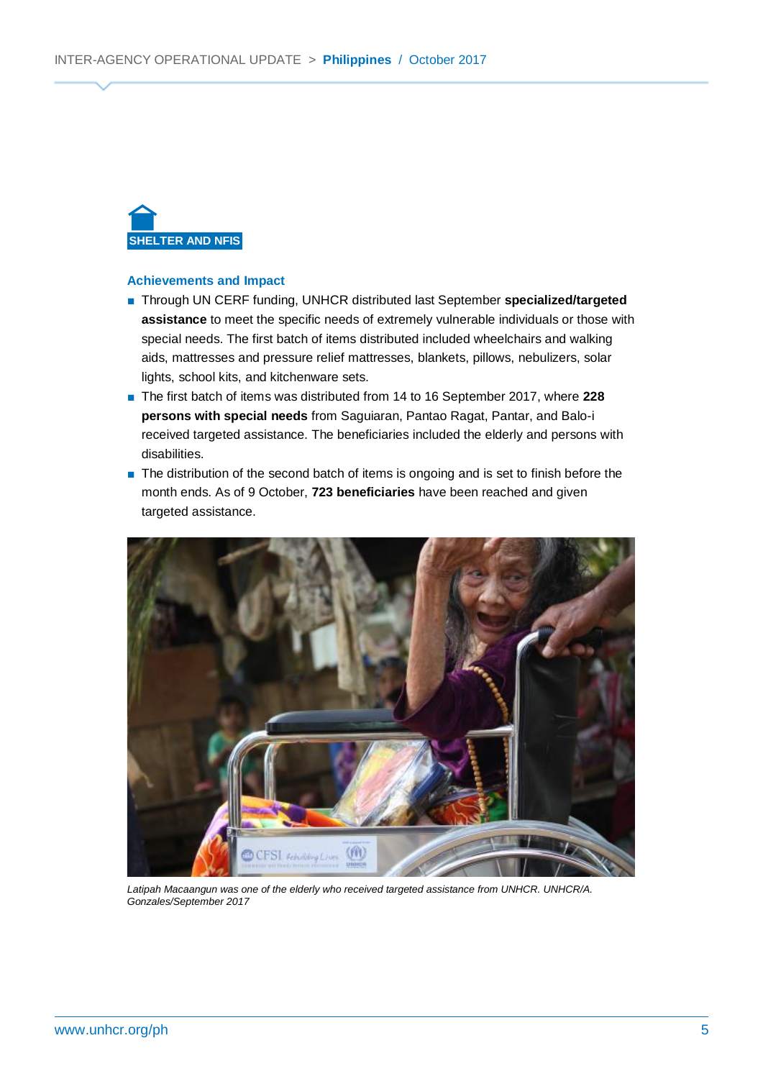

#### **Achievements and Impact**

- Through UN CERF funding, UNHCR distributed last September specialized/targeted **assistance** to meet the specific needs of extremely vulnerable individuals or those with special needs. The first batch of items distributed included wheelchairs and walking aids, mattresses and pressure relief mattresses, blankets, pillows, nebulizers, solar lights, school kits, and kitchenware sets.
- The first batch of items was distributed from 14 to 16 September 2017, where 228 **persons with special needs** from Saguiaran, Pantao Ragat, Pantar, and Balo-i received targeted assistance. The beneficiaries included the elderly and persons with disabilities.
- The distribution of the second batch of items is ongoing and is set to finish before the month ends. As of 9 October, **723 beneficiaries** have been reached and given targeted assistance.



*Latipah Macaangun was one of the elderly who received targeted assistance from UNHCR. UNHCR/A. Gonzales/September 2017*